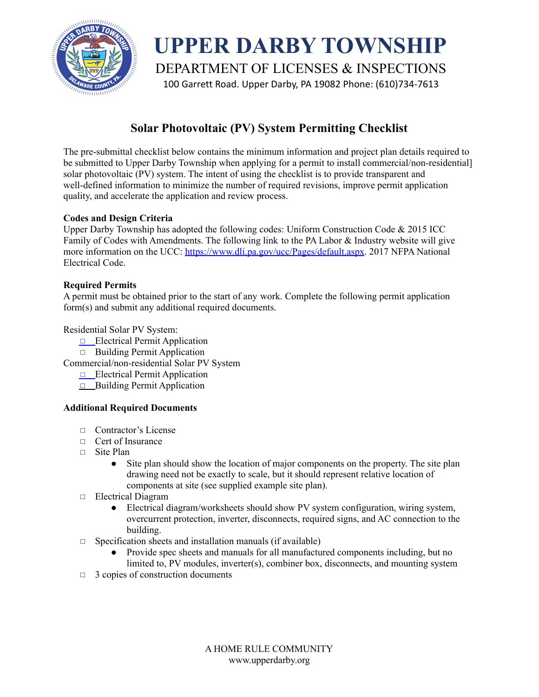

**UPPER DARBY TOWNSHIP** DEPARTMENT OF LICENSES & INSPECTIONS 100 Garrett Road. Upper Darby, PA 19082 Phone: (610)734-7613

# **Solar Photovoltaic (PV) System Permitting Checklist**

The pre-submittal checklist below contains the minimum information and project plan details required to be submitted to Upper Darby Township when applying for a permit to install commercial/non-residential] solar photovoltaic (PV) system. The intent of using the checklist is to provide transparent and well-defined information to minimize the number of required revisions, improve permit application quality, and accelerate the application and review process.

# **Codes and Design Criteria**

Upper Darby Township has adopted the following codes: Uniform Construction Code & 2015 ICC Family of Codes with Amendments. The following link to the PA Labor & Industry website will give more information on the UCC: <https://www.dli.pa.gov/ucc/Pages/default.aspx>. 2017 NFPA National Electrical Code.

## **Required Permits**

A permit must be obtained prior to the start of any work. Complete the following permit application form(s) and submit any additional required documents.

Residential Solar PV System:

- ◻ Electrical Permit Application
- ◻ Building Permit Application

Commercial/non-residential Solar PV System

- ◻ Electrical Permit Application
- $\Box$  Building Permit Application

# **Additional Required Documents**

- ◻ Contractor's License
- ◻ Cert of Insurance
- ◻ Site Plan
	- Site plan should show the location of major components on the property. The site plan drawing need not be exactly to scale, but it should represent relative location of components at site (see supplied example site plan).
- ◻ Electrical Diagram
	- Electrical diagram/worksheets should show PV system configuration, wiring system, overcurrent protection, inverter, disconnects, required signs, and AC connection to the building.
- $\Box$  Specification sheets and installation manuals (if available)
	- Provide spec sheets and manuals for all manufactured components including, but no limited to, PV modules, inverter(s), combiner box, disconnects, and mounting system
- $\Box$  3 copies of construction documents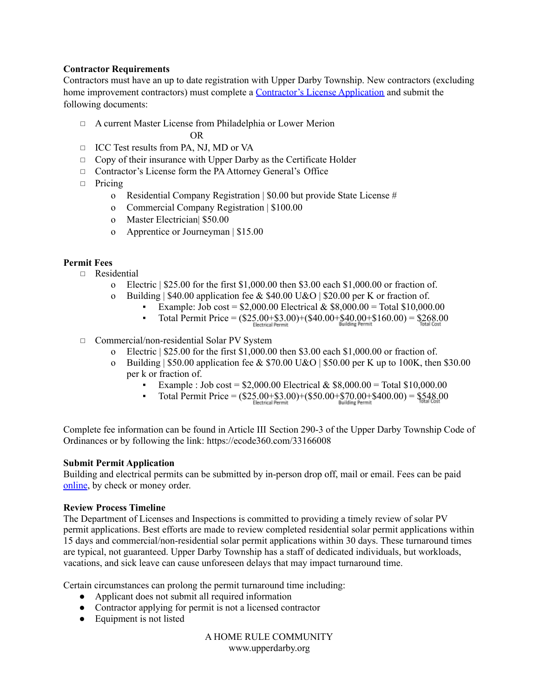#### **Contractor Requirements**

Contractors must have an up to date registration with Upper Darby Township. New contractors (excluding home improvement contractors) must complete a [Contractor's](https://www.upperdarby.org/downloads/li/licenses/contractor_license_app.pdf) License Application and submit the following documents:

◻ A current Master License from Philadelphia or Lower Merion

OR

- ◻ ICC Test results from PA, NJ, MD or VA
- ◻ Copy of their insurance with Upper Darby as the Certificate Holder
- ◻ Contractor's License form the PAAttorney General's Office
- ◻ Pricing
	- o Residential Company Registration | \$0.00 but provide State License #
	- o Commercial Company Registration | \$100.00
	- o Master Electrician| \$50.00
	- o Apprentice or Journeyman | \$15.00

## **Permit Fees**

- ◻ Residential
	- o Electric | \$25.00 for the first \$1,000.00 then \$3.00 each \$1,000.00 or fraction of.
	- o Building | \$40.00 application fee & \$40.00 U&O | \$20.00 per K or fraction of.
		- Example: Job cost =  $$2,000.00$  Electrical &  $$8,000.00$  = Total  $$10,000.00$ 
			- Total Permit Price =  $(\$25.00 + \$3.00) + \$40.00 + \$40.00 + \$160.00) = \$268.00$
- ◻ Commercial/non-residential Solar PV System
	- o Electric | \$25.00 for the first \$1,000.00 then \$3.00 each \$1,000.00 or fraction of.
	- o Building | \$50.00 application fee & \$70.00 U&O | \$50.00 per K up to 100K, then \$30.00 per k or fraction of.
		- Example : Job cost =  $$2,000.00$  Electrical &  $$8,000.00$  = Total  $$10,000.00$
		- Total Permit Price =  $(\$25.00 + \$3.00) + (\$50.00 + \$70.00 + \$400.00) = \$548.00$

Complete fee information can be found in Article III Section 290-3 of the Upper Darby Township Code of Ordinances or by following the link: https://ecode360.com/33166008

#### **Submit Permit Application**

Building and electrical permits can be submitted by in-person drop off, mail or email. Fees can be paid [online](https://mobile.jackrabbit.mobi/web/secure/payment.xhtml?token=F615D6248811B95809F780DA6BD4B5F6E3690987), by check or money order.

#### **Review Process Timeline**

The Department of Licenses and Inspections is committed to providing a timely review of solar PV permit applications. Best efforts are made to review completed residential solar permit applications within 15 days and commercial/non-residential solar permit applications within 30 days. These turnaround times are typical, not guaranteed. Upper Darby Township has a staff of dedicated individuals, but workloads, vacations, and sick leave can cause unforeseen delays that may impact turnaround time.

Certain circumstances can prolong the permit turnaround time including:

- Applicant does not submit all required information
- Contractor applying for permit is not a licensed contractor
- Equipment is not listed

A HOME RULE COMMUNITY www.upperdarby.org